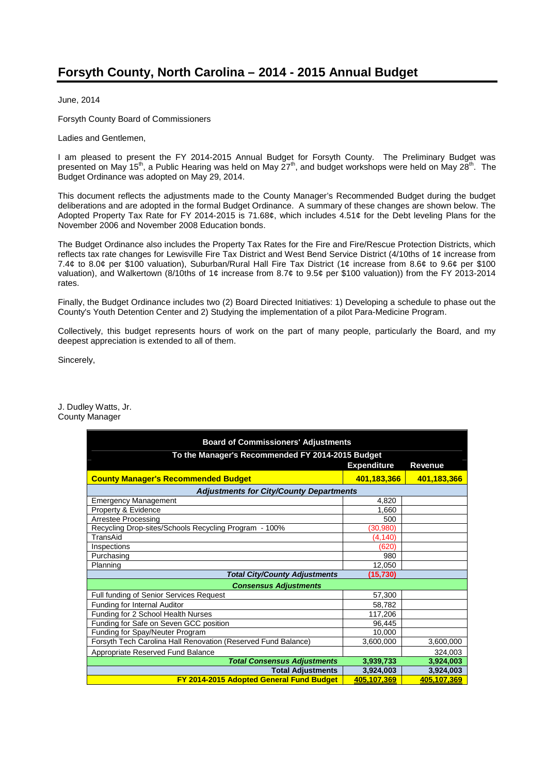# **Forsyth County, North Carolina – 2014 - 2015 Annual Budget**

June, 2014

Forsyth County Board of Commissioners

Ladies and Gentlemen,

I am pleased to present the FY 2014-2015 Annual Budget for Forsyth County. The Preliminary Budget was presented on May 15<sup>th</sup>, a Public Hearing was held on May  $27<sup>th</sup>$ , and budget workshops were held on May  $28<sup>th</sup>$ . The Budget Ordinance was adopted on May 29, 2014.

This document reflects the adjustments made to the County Manager's Recommended Budget during the budget deliberations and are adopted in the formal Budget Ordinance. A summary of these changes are shown below. The Adopted Property Tax Rate for FY 2014-2015 is 71.68¢, which includes 4.51¢ for the Debt leveling Plans for the November 2006 and November 2008 Education bonds.

The Budget Ordinance also includes the Property Tax Rates for the Fire and Fire/Rescue Protection Districts, which reflects tax rate changes for Lewisville Fire Tax District and West Bend Service District (4/10ths of 1¢ increase from 7.4¢ to 8.0¢ per \$100 valuation), Suburban/Rural Hall Fire Tax District (1¢ increase from 8.6¢ to 9.6¢ per \$100 valuation), and Walkertown (8/10ths of 1¢ increase from 8.7¢ to 9.5¢ per \$100 valuation)) from the FY 2013-2014 rates.

Finally, the Budget Ordinance includes two (2) Board Directed Initiatives: 1) Developing a schedule to phase out the County's Youth Detention Center and 2) Studying the implementation of a pilot Para-Medicine Program.

Collectively, this budget represents hours of work on the part of many people, particularly the Board, and my deepest appreciation is extended to all of them.

Sincerely,

J. Dudley Watts, Jr. County Manager

| <b>Board of Commissioners' Adjustments</b>                    |                    |                |
|---------------------------------------------------------------|--------------------|----------------|
| To the Manager's Recommended FY 2014-2015 Budget              |                    |                |
|                                                               | <b>Expenditure</b> | <b>Revenue</b> |
| <b>County Manager's Recommended Budget</b>                    | 401,183,366        | 401,183,366    |
| <b>Adjustments for City/County Departments</b>                |                    |                |
| <b>Emergency Management</b>                                   | 4,820              |                |
| Property & Evidence                                           | 1,660              |                |
| Arrestee Processing                                           | 500                |                |
| Recycling Drop-sites/Schools Recycling Program - 100%         | (30, 980)          |                |
| TransAid                                                      | (4, 140)           |                |
| Inspections                                                   | (620)              |                |
| Purchasing                                                    | 980                |                |
| Planning                                                      | 12,050             |                |
| <b>Total City/County Adjustments</b>                          | (15, 730)          |                |
| <b>Consensus Adjustments</b>                                  |                    |                |
| Full funding of Senior Services Request                       | 57,300             |                |
| Funding for Internal Auditor                                  | 58,782             |                |
| Funding for 2 School Health Nurses                            | 117,206            |                |
| Funding for Safe on Seven GCC position                        | 96.445             |                |
| Funding for Spay/Neuter Program                               | 10,000             |                |
| Forsyth Tech Carolina Hall Renovation (Reserved Fund Balance) | 3,600,000          | 3,600,000      |
| Appropriate Reserved Fund Balance                             |                    | 324,003        |
| <b>Total Consensus Adjustments</b>                            | 3,939,733          | 3,924,003      |
| <b>Total Adjustments</b>                                      | 3,924,003          | 3,924,003      |
| FY 2014-2015 Adopted General Fund Budget                      | 405.107.369        | 405.107.369    |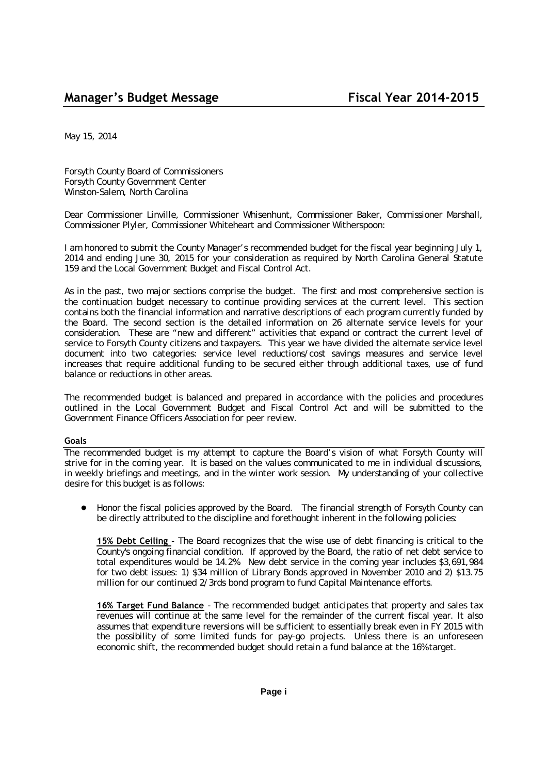May 15, 2014

Forsyth County Board of Commissioners Forsyth County Government Center Winston-Salem, North Carolina

Dear Commissioner Linville, Commissioner Whisenhunt, Commissioner Baker, Commissioner Marshall, Commissioner Plyler, Commissioner Whiteheart and Commissioner Witherspoon:

I am honored to submit the County Manager's recommended budget for the fiscal year beginning July 1, 2014 and ending June 30, 2015 for your consideration as required by North Carolina General Statute 159 and the Local Government Budget and Fiscal Control Act.

As in the past, two major sections comprise the budget. The first and most comprehensive section is the continuation budget necessary to continue providing services at the current level. This section contains both the financial information and narrative descriptions of each program currently funded by the Board. The second section is the detailed information on 26 alternate service levels for your consideration. These are "new and different" activities that expand or contract the current level of service to Forsyth County citizens and taxpayers. This year we have divided the alternate service level document into two categories: service level reductions/cost savings measures and service level increases that require additional funding to be secured either through additional taxes, use of fund balance or reductions in other areas.

The recommended budget is balanced and prepared in accordance with the policies and procedures outlined in the Local Government Budget and Fiscal Control Act and will be submitted to the Government Finance Officers Association for peer review.

### **Goals**

The recommended budget is my attempt to capture the Board's vision of what Forsyth County will strive for in the coming year. It is based on the values communicated to me in individual discussions, in weekly briefings and meetings, and in the winter work session. My understanding of your collective desire for this budget is as follows:

● Honor the fiscal policies approved by the Board. The financial strength of Forsyth County can be directly attributed to the discipline and forethought inherent in the following policies:

**15% Debt Ceiling** - The Board recognizes that the wise use of debt financing is critical to the County's ongoing financial condition. If approved by the Board, the ratio of net debt service to total expenditures would be 14.2%. New debt service in the coming year includes \$3,691,984 for two debt issues: 1) \$34 million of Library Bonds approved in November 2010 and 2) \$13.75 million for our continued 2/3rds bond program to fund Capital Maintenance efforts.

**16% Target Fund Balance** - The recommended budget anticipates that property and sales tax revenues will continue at the same level for the remainder of the current fiscal year. It also assumes that expenditure reversions will be sufficient to essentially break even in FY 2015 with the possibility of some limited funds for pay-go projects. Unless there is an unforeseen economic shift, the recommended budget should retain a fund balance at the 16% target.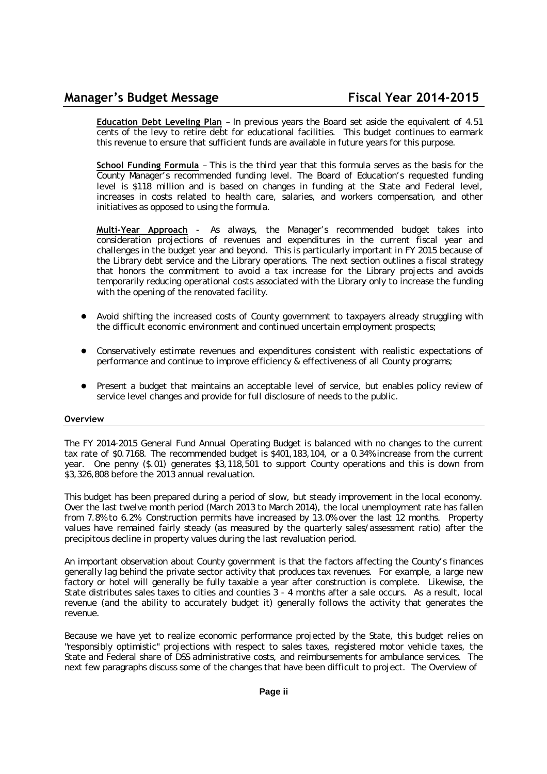**Education Debt Leveling Plan** – In previous years the Board set aside the equivalent of 4.51 cents of the levy to retire debt for educational facilities. This budget continues to earmark this revenue to ensure that sufficient funds are available in future years for this purpose.

**School Funding Formula** – This is the third year that this formula serves as the basis for the County Manager's recommended funding level. The Board of Education's requested funding level is \$118 million and is based on changes in funding at the State and Federal level, increases in costs related to health care, salaries, and workers compensation, and other initiatives as opposed to using the formula.

**Multi-Year Approach** - As always, the Manager's recommended budget takes into consideration projections of revenues and expenditures in the current fiscal year and challenges in the budget year and beyond. This is particularly important in FY 2015 because of the Library debt service and the Library operations. The next section outlines a fiscal strategy that honors the commitment to avoid a tax increase for the Library projects and avoids temporarily reducing operational costs associated with the Library only to increase the funding with the opening of the renovated facility.

- Avoid shifting the increased costs of County government to taxpayers already struggling with the difficult economic environment and continued uncertain employment prospects;
- Conservatively estimate revenues and expenditures consistent with realistic expectations of performance and continue to improve efficiency & effectiveness of all County programs;
- Present a budget that maintains an acceptable level of service, but enables policy review of service level changes and provide for full disclosure of needs to the public.

### **Overview**

The FY 2014-2015 General Fund Annual Operating Budget is balanced with no changes to the current tax rate of \$0.7168. The recommended budget is \$401,183,104, or a 0.34% increase from the current year. One penny (\$.01) generates \$3,118,501 to support County operations and this is down from \$3,326,808 before the 2013 annual revaluation.

This budget has been prepared during a period of slow, but steady improvement in the local economy. Over the last twelve month period (March 2013 to March 2014), the local unemployment rate has fallen from 7.8% to 6.2%. Construction permits have increased by 13.0% over the last 12 months. Property values have remained fairly steady (as measured by the quarterly sales/assessment ratio) after the precipitous decline in property values during the last revaluation period.

An important observation about County government is that the factors affecting the County's finances generally lag behind the private sector activity that produces tax revenues. For example, a large new factory or hotel will generally be fully taxable a year after construction is complete. Likewise, the State distributes sales taxes to cities and counties 3 - 4 months after a sale occurs. As a result, local revenue (and the ability to accurately budget it) generally follows the activity that generates the revenue.

Because we have yet to realize economic performance projected by the State, this budget relies on "responsibly optimistic" projections with respect to sales taxes, registered motor vehicle taxes, the State and Federal share of DSS administrative costs, and reimbursements for ambulance services. The next few paragraphs discuss some of the changes that have been difficult to project. The Overview of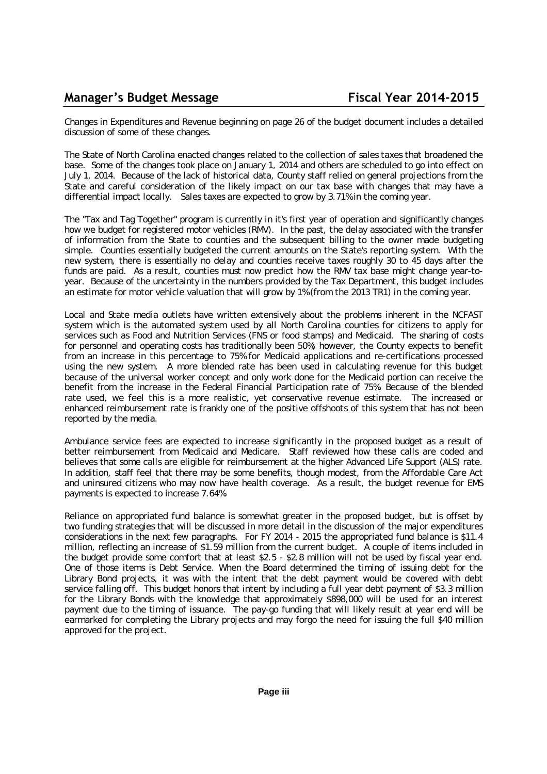Changes in Expenditures and Revenue beginning on page 26 of the budget document includes a detailed discussion of some of these changes.

The State of North Carolina enacted changes related to the collection of sales taxes that broadened the base. Some of the changes took place on January 1, 2014 and others are scheduled to go into effect on July 1, 2014. Because of the lack of historical data, County staff relied on general projections from the State and careful consideration of the likely impact on our tax base with changes that may have a differential impact locally. Sales taxes are expected to grow by 3.71% in the coming year.

The "Tax and Tag Together" program is currently in it's first year of operation and significantly changes how we budget for registered motor vehicles (RMV). In the past, the delay associated with the transfer of information from the State to counties and the subsequent billing to the owner made budgeting simple. Counties essentially budgeted the current amounts on the State's reporting system. With the new system, there is essentially no delay and counties receive taxes roughly 30 to 45 days after the funds are paid. As a result, counties must now predict how the RMV tax base might change year-toyear. Because of the uncertainty in the numbers provided by the Tax Department, this budget includes an estimate for motor vehicle valuation that will grow by 1% (from the 2013 TR1) in the coming year.

Local and State media outlets have written extensively about the problems inherent in the NCFAST system which is the automated system used by all North Carolina counties for citizens to apply for services such as Food and Nutrition Services (FNS or food stamps) and Medicaid. The sharing of costs for personnel and operating costs has traditionally been 50%; however, the County expects to benefit from an increase in this percentage to 75% for Medicaid applications and re-certifications processed using the new system. A more blended rate has been used in calculating revenue for this budget because of the universal worker concept and only work done for the Medicaid portion can receive the benefit from the increase in the Federal Financial Participation rate of 75%. Because of the blended rate used, we feel this is a more realistic, yet conservative revenue estimate. The increased or enhanced reimbursement rate is frankly one of the positive offshoots of this system that has not been reported by the media.

Ambulance service fees are expected to increase significantly in the proposed budget as a result of better reimbursement from Medicaid and Medicare. Staff reviewed how these calls are coded and believes that some calls are eligible for reimbursement at the higher Advanced Life Support (ALS) rate. In addition, staff feel that there may be some benefits, though modest, from the Affordable Care Act and uninsured citizens who may now have health coverage. As a result, the budget revenue for EMS payments is expected to increase 7.64%.

Reliance on appropriated fund balance is somewhat greater in the proposed budget, but is offset by two funding strategies that will be discussed in more detail in the discussion of the major expenditures considerations in the next few paragraphs. For FY 2014 - 2015 the appropriated fund balance is \$11.4 million, reflecting an increase of \$1.59 million from the current budget. A couple of items included in the budget provide some comfort that at least \$2.5 - \$2.8 million will not be used by fiscal year end. One of those items is Debt Service. When the Board determined the timing of issuing debt for the Library Bond projects, it was with the intent that the debt payment would be covered with debt service falling off. This budget honors that intent by including a full year debt payment of \$3.3 million for the Library Bonds with the knowledge that approximately \$898,000 will be used for an interest payment due to the timing of issuance. The pay-go funding that will likely result at year end will be earmarked for completing the Library projects and may forgo the need for issuing the full \$40 million approved for the project.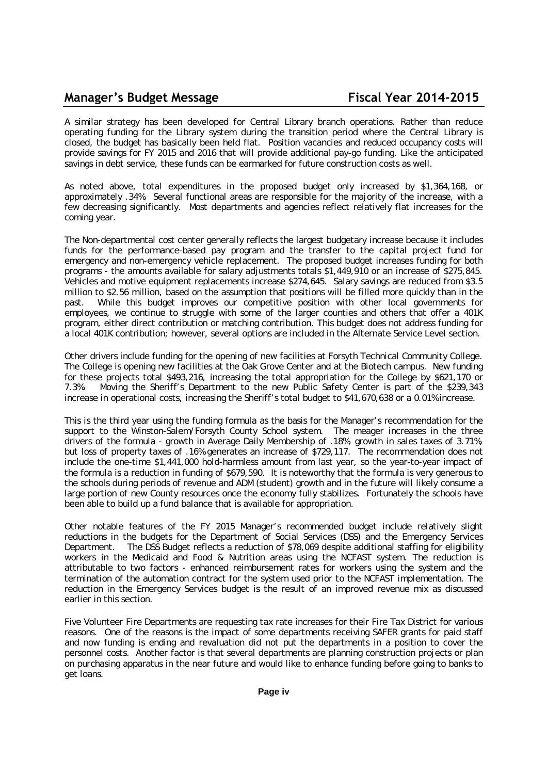### **Manager's Budget Message Fiscal Year 2014-2015**

A similar strategy has been developed for Central Library branch operations. Rather than reduce operating funding for the Library system during the transition period where the Central Library is closed, the budget has basically been held flat. Position vacancies and reduced occupancy costs will provide savings for FY 2015 and 2016 that will provide additional pay-go funding. Like the anticipated savings in debt service, these funds can be earmarked for future construction costs as well.

As noted above, total expenditures in the proposed budget only increased by \$1,364,168, or approximately .34%. Several functional areas are responsible for the majority of the increase, with a few decreasing significantly. Most departments and agencies reflect relatively flat increases for the coming year.

The Non-departmental cost center generally reflects the largest budgetary increase because it includes funds for the performance-based pay program and the transfer to the capital project fund for emergency and non-emergency vehicle replacement. The proposed budget increases funding for both programs - the amounts available for salary adjustments totals \$1,449,910 or an increase of \$275,845. Vehicles and motive equipment replacements increase \$274,645. Salary savings are reduced from \$3.5 million to \$2.56 million, based on the assumption that positions will be filled more quickly than in the past. While this budget improves our competitive position with other local governments for employees, we continue to struggle with some of the larger counties and others that offer a 401K program, either direct contribution or matching contribution. This budget does not address funding for a local 401K contribution; however, several options are included in the Alternate Service Level section.

Other drivers include funding for the opening of new facilities at Forsyth Technical Community College. The College is opening new facilities at the Oak Grove Center and at the Biotech campus. New funding for these projects total \$493,216, increasing the total appropriation for the College by \$621,170 or 7.3%. Moving the Sheriff's Department to the new Public Safety Center is part of the \$239,343 increase in operational costs, increasing the Sheriff's total budget to \$41,670,638 or a 0.01% increase.

This is the third year using the funding formula as the basis for the Manager's recommendation for the support to the Winston-Salem/Forsyth County School system. The meager increases in the three drivers of the formula - growth in Average Daily Membership of .18%, growth in sales taxes of 3.71%, but loss of property taxes of .16% generates an increase of \$729,117. The recommendation does not include the one-time \$1,441,000 hold-harmless amount from last year, so the year-to-year impact of the formula is a reduction in funding of \$679,590. It is noteworthy that the formula is very generous to the schools during periods of revenue and ADM (student) growth and in the future will likely consume a large portion of new County resources once the economy fully stabilizes. Fortunately the schools have been able to build up a fund balance that is available for appropriation.

Other notable features of the FY 2015 Manager's recommended budget include relatively slight reductions in the budgets for the Department of Social Services (DSS) and the Emergency Services Department. The DSS Budget reflects a reduction of \$78,069 despite additional staffing for eligibility workers in the Medicaid and Food & Nutrition areas using the NCFAST system. The reduction is attributable to two factors - enhanced reimbursement rates for workers using the system and the termination of the automation contract for the system used prior to the NCFAST implementation. The reduction in the Emergency Services budget is the result of an improved revenue mix as discussed earlier in this section.

Five Volunteer Fire Departments are requesting tax rate increases for their Fire Tax District for various reasons. One of the reasons is the impact of some departments receiving SAFER grants for paid staff and now funding is ending and revaluation did not put the departments in a position to cover the personnel costs. Another factor is that several departments are planning construction projects or plan on purchasing apparatus in the near future and would like to enhance funding before going to banks to get loans.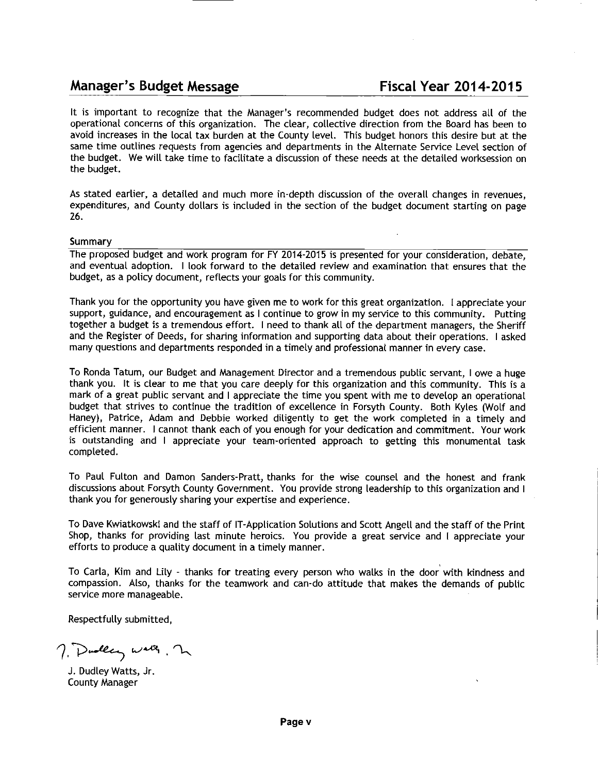## Manager's Budget Message

It is important to recognize that the Manager's recommended budget does not address all of the operational concerns of this organization. The clear, collective direction from the Board has been to avoid increases in the local tax burden at the County level. This budget honors this desire but at the same time outlines requests from agencies and departments in the Alternate Service Level section of the budget. We will take time to facilitate a discussion of these needs at the detailed worksession on the budget.

As stated earlier, a detailed and much more in-depth discussion of the overall changes in revenues, expenditures, and County dollars is included in the section of the budget document starting on page 26.

### Summary

The proposed budget and work program for FY 2014-2015 is presented for your consideration, debate, and eventual adoption. I look forward to the detailed review and examination that ensures that the budget, as a policy document, reflects your goals for this community.

Thank you for the opportunity you have given me to work for this great organization. I appreciate your support, guidance, and encouragement as I continue to grow in my service to this community. Putting together a budget is a tremendous effort. I need to thank all of the department managers, the Sheriff and the Register of Deeds, for sharing information and supporting data about their operations. I asked many questions and departments responded in a timely and professional manner in every case.

To Ronda Tatum, our Budget and Management Director and a tremendous public servant, I owe a huge thank you. It is clear to me that you care deeply for this organization and this community. This is a mark of a great public servant and I appreciate the time you spent with me to develop an operational budget that strives to continue the tradition of excellence in Forsyth County. Both Kyles (Wolf and Haney), Patrice, Adam and Debbie worked diligently to get the work completed in a timely and efficient manner. I cannot thank each of you enough for your dedication and commitment. Your work is outstanding and I appreciate your team-oriented approach to getting this monumental task completed.

To Paul Fulton and Damon Sanders-Pratt, thanks for the wise counsel and the honest and frank discussions about Forsyth County Government. You provide strong leadership to this organization and I thank you for generously sharing your expertise and experience.

To Dave Kwiatkowski and the staff of IT-Application Solutions and Scott Angell and the staff of the Print Shop, thanks for providing last minute heroics. You provide a great service and I appreciate your efforts to produce a quality document in a timely manner.

To Carla, Kim and Lily - thanks for treating every person who walks in the door with kindness and compassion. Also, thanks for the teamwork and can-do attitude that makes the demands of public service more manageable.

Respectfully submitted,

7. Dualey walk, 2

J. Dudley Watts, Jr. County Manager